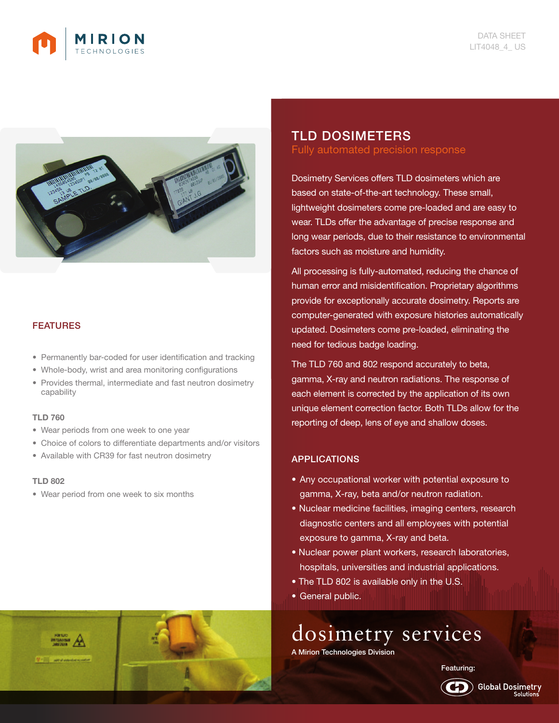



## **FEATURES**

- Permanently bar-coded for user identification and tracking
- Whole-body, wrist and area monitoring configurations
- Provides thermal, intermediate and fast neutron dosimetry capability

#### TLD 760

- Wear periods from one week to one year
- Choice of colors to differentiate departments and/or visitors
- Available with CR39 for fast neutron dosimetry

### TLD 802

• Wear period from one week to six months

# TLD DOSIMETERS Fully automated precision response

Dosimetry Services offers TLD dosimeters which are based on state-of-the-art technology. These small, lightweight dosimeters come pre-loaded and are easy to wear. TLDs offer the advantage of precise response and long wear periods, due to their resistance to environmental factors such as moisture and humidity.

All processing is fully-automated, reducing the chance of human error and misidentification. Proprietary algorithms provide for exceptionally accurate dosimetry. Reports are computer-generated with exposure histories automatically updated. Dosimeters come pre-loaded, eliminating the need for tedious badge loading.

The TLD 760 and 802 respond accurately to beta, gamma, X-ray and neutron radiations. The response of each element is corrected by the application of its own unique element correction factor. Both TLDs allow for the reporting of deep, lens of eye and shallow doses.

## APPLICATIONS

- Any occupational worker with potential exposure to gamma, X-ray, beta and/or neutron radiation.
- Nuclear medicine facilities, imaging centers, research diagnostic centers and all employees with potential exposure to gamma, X-ray and beta.
- Nuclear power plant workers, research laboratories, hospitals, universities and industrial applications.
- The TLD 802 is available only in the U.S.
- General public.

dosimetry services

A Mirion Technologies Division